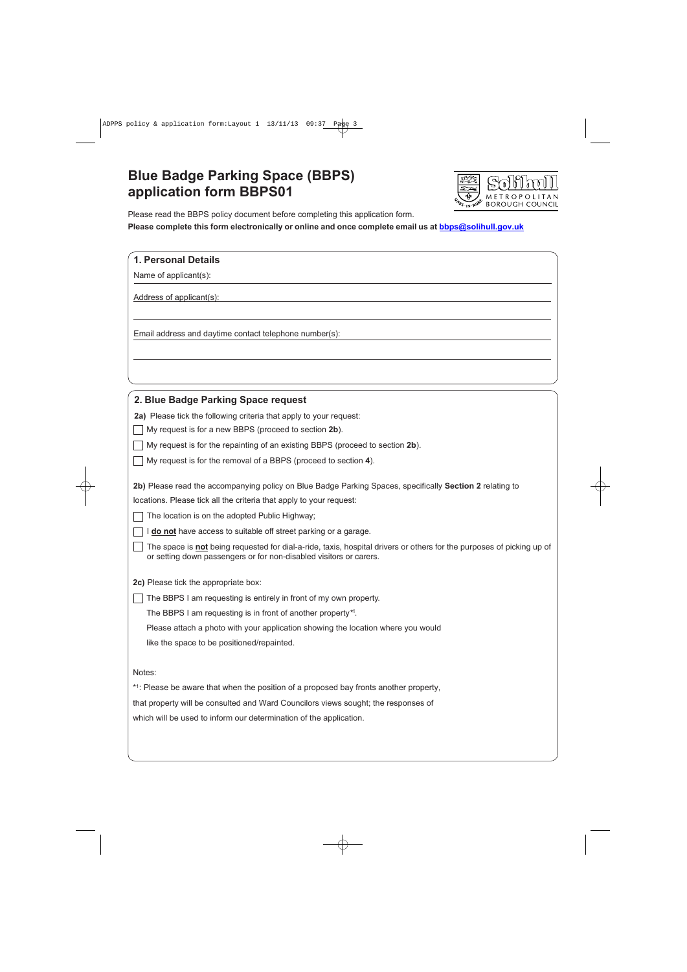# **Blue Badge Parking Space (BBPS) application form BBPS01**



Please read the BBPS policy document before completing this application form. **Please complete this form electronically or online and once complete email us at bbps@solihull.gov.uk**

### **1. Personal Details**

Name of applicant(s):

Address of applicant(s):

Email address and daytime contact telephone number(s):

| 2. Blue Badge Parking Space request                                                                                                                                                         |
|---------------------------------------------------------------------------------------------------------------------------------------------------------------------------------------------|
| 2a) Please tick the following criteria that apply to your request:                                                                                                                          |
| My request is for a new BBPS (proceed to section 2b).                                                                                                                                       |
| My request is for the repainting of an existing BBPS (proceed to section 2b).                                                                                                               |
| My request is for the removal of a BBPS (proceed to section 4).                                                                                                                             |
| 2b) Please read the accompanying policy on Blue Badge Parking Spaces, specifically Section 2 relating to                                                                                    |
| locations. Please tick all the criteria that apply to your request:                                                                                                                         |
| The location is on the adopted Public Highway;                                                                                                                                              |
| I do not have access to suitable off street parking or a garage.                                                                                                                            |
| The space is not being requested for dial-a-ride, taxis, hospital drivers or others for the purposes of picking up of<br>or setting down passengers or for non-disabled visitors or carers. |
| 2c) Please tick the appropriate box:                                                                                                                                                        |
| The BBPS I am requesting is entirely in front of my own property.                                                                                                                           |
| The BBPS I am requesting is in front of another property $*$ .                                                                                                                              |
| Please attach a photo with your application showing the location where you would                                                                                                            |
| like the space to be positioned/repainted.                                                                                                                                                  |
| Notes:                                                                                                                                                                                      |
| *1: Please be aware that when the position of a proposed bay fronts another property,                                                                                                       |
| that property will be consulted and Ward Councilors views sought; the responses of                                                                                                          |
| which will be used to inform our determination of the application.                                                                                                                          |
|                                                                                                                                                                                             |
|                                                                                                                                                                                             |
|                                                                                                                                                                                             |